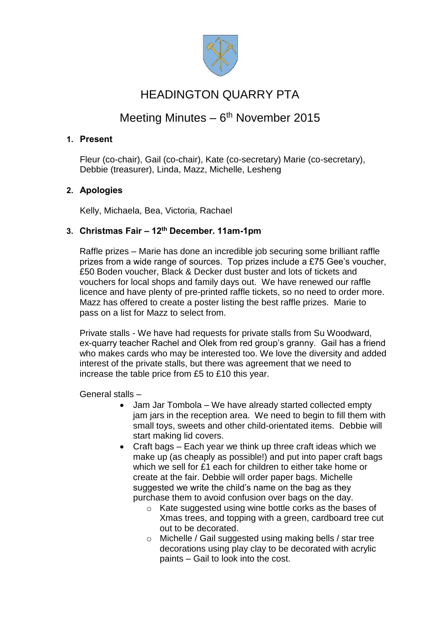

# HEADINGTON QUARRY PTA

## Meeting Minutes - 6<sup>th</sup> November 2015

### **1. Present**

Fleur (co-chair), Gail (co-chair), Kate (co-secretary) Marie (co-secretary), Debbie (treasurer), Linda, Mazz, Michelle, Lesheng

#### **2. Apologies**

Kelly, Michaela, Bea, Victoria, Rachael

#### **3. Christmas Fair – 12th December. 11am-1pm**

Raffle prizes – Marie has done an incredible job securing some brilliant raffle prizes from a wide range of sources. Top prizes include a £75 Gee's voucher, £50 Boden voucher, Black & Decker dust buster and lots of tickets and vouchers for local shops and family days out. We have renewed our raffle licence and have plenty of pre-printed raffle tickets, so no need to order more. Mazz has offered to create a poster listing the best raffle prizes. Marie to pass on a list for Mazz to select from.

Private stalls - We have had requests for private stalls from Su Woodward, ex-quarry teacher Rachel and Olek from red group's granny. Gail has a friend who makes cards who may be interested too. We love the diversity and added interest of the private stalls, but there was agreement that we need to increase the table price from £5 to £10 this year.

General stalls –

- Jam Jar Tombola We have already started collected empty jam jars in the reception area. We need to begin to fill them with small toys, sweets and other child-orientated items. Debbie will start making lid covers.
- Craft bags Each year we think up three craft ideas which we make up (as cheaply as possible!) and put into paper craft bags which we sell for £1 each for children to either take home or create at the fair. Debbie will order paper bags. Michelle suggested we write the child's name on the bag as they purchase them to avoid confusion over bags on the day.
	- o Kate suggested using wine bottle corks as the bases of Xmas trees, and topping with a green, cardboard tree cut out to be decorated.
	- o Michelle / Gail suggested using making bells / star tree decorations using play clay to be decorated with acrylic paints – Gail to look into the cost.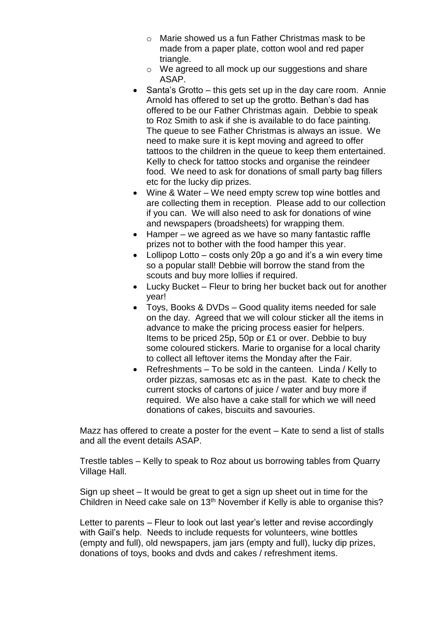- o Marie showed us a fun Father Christmas mask to be made from a paper plate, cotton wool and red paper triangle.
- o We agreed to all mock up our suggestions and share ASAP.
- Santa's Grotto this gets set up in the day care room. Annie Arnold has offered to set up the grotto. Bethan's dad has offered to be our Father Christmas again. Debbie to speak to Roz Smith to ask if she is available to do face painting. The queue to see Father Christmas is always an issue. We need to make sure it is kept moving and agreed to offer tattoos to the children in the queue to keep them entertained. Kelly to check for tattoo stocks and organise the reindeer food. We need to ask for donations of small party bag fillers etc for the lucky dip prizes.
- Wine & Water We need empty screw top wine bottles and are collecting them in reception. Please add to our collection if you can. We will also need to ask for donations of wine and newspapers (broadsheets) for wrapping them.
- Hamper we agreed as we have so many fantastic raffle prizes not to bother with the food hamper this year.
- Lollipop Lotto costs only 20p a go and it's a win every time so a popular stall! Debbie will borrow the stand from the scouts and buy more lollies if required.
- Lucky Bucket Fleur to bring her bucket back out for another year!
- Toys, Books & DVDs Good quality items needed for sale on the day. Agreed that we will colour sticker all the items in advance to make the pricing process easier for helpers. Items to be priced 25p, 50p or £1 or over. Debbie to buy some coloured stickers. Marie to organise for a local charity to collect all leftover items the Monday after the Fair.
- Refreshments To be sold in the canteen. Linda / Kelly to order pizzas, samosas etc as in the past. Kate to check the current stocks of cartons of juice / water and buy more if required. We also have a cake stall for which we will need donations of cakes, biscuits and savouries.

Mazz has offered to create a poster for the event – Kate to send a list of stalls and all the event details ASAP.

Trestle tables – Kelly to speak to Roz about us borrowing tables from Quarry Village Hall.

Sign up sheet – It would be great to get a sign up sheet out in time for the Children in Need cake sale on 13<sup>th</sup> November if Kelly is able to organise this?

Letter to parents – Fleur to look out last year's letter and revise accordingly with Gail's help. Needs to include requests for volunteers, wine bottles (empty and full), old newspapers, jam jars (empty and full), lucky dip prizes, donations of toys, books and dvds and cakes / refreshment items.